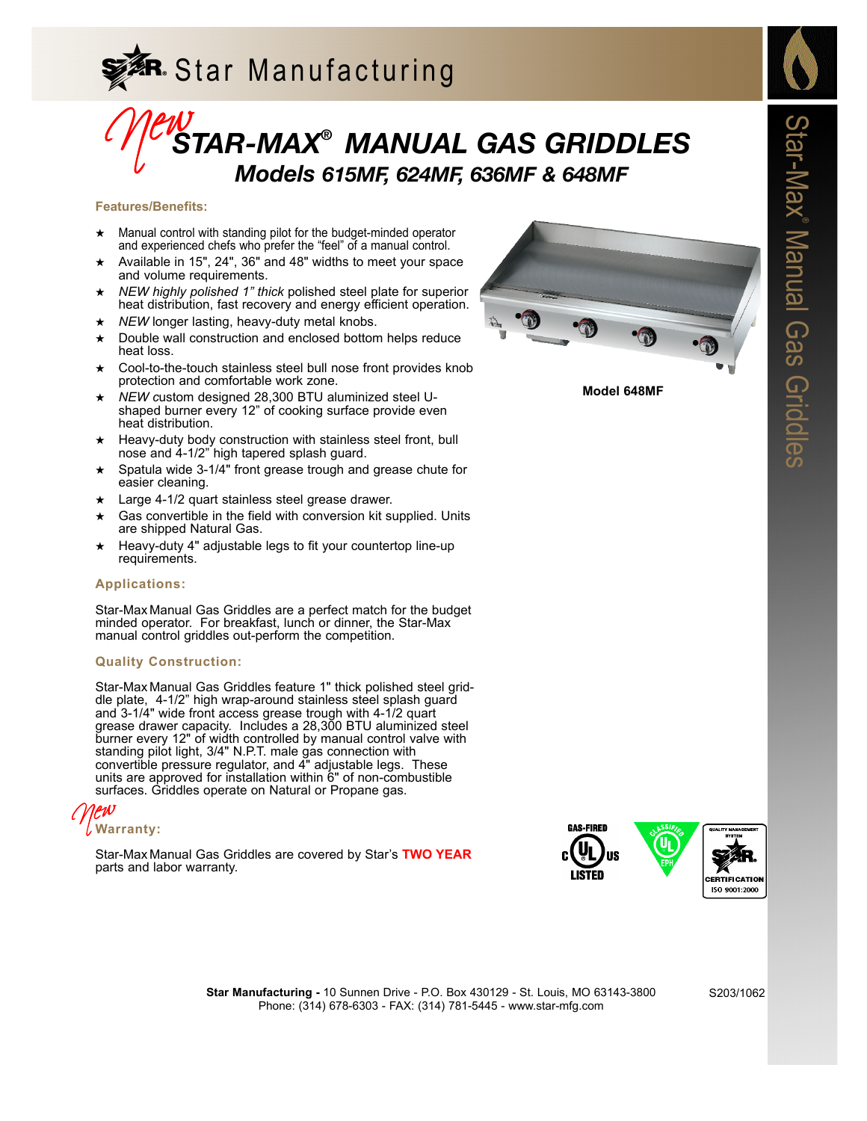

# *STAR-MAX® MANUAL GAS GRIDDLES Models 615MF, 624MF, 636MF & 648MF* Mews.

### **Features/Benefits:**

- ★ Manual control with standing pilot for the budget-minded operator and experienced chefs who prefer the "feel" of a manual control.
- Available in 15", 24", 36" and 48" widths to meet your space and volume requirements.
- NEW highly polished 1" thick polished steel plate for superior heat distribution, fast recovery and energy efficient operation.
- ★ *NEW* longer lasting, heavy-duty metal knobs.
- Double wall construction and enclosed bottom helps reduce heat loss.
- Cool-to-the-touch stainless steel bull nose front provides knob protection and comfortable work zone.
- NEW custom designed 28,300 BTU aluminized steel Ushaped burner every 12" of cooking surface provide even heat distribution.
- Heavy-duty body construction with stainless steel front, bull nose and 4-1/2" high tapered splash guard.
- Spatula wide 3-1/4" front grease trough and grease chute for easier cleaning.
- Large 4-1/2 quart stainless steel grease drawer.
- Gas convertible in the field with conversion kit supplied. Units are shipped Natural Gas.
- Heavy-duty 4" adjustable legs to fit your countertop line-up requirements.

## **Applications:**

Star-Max Manual Gas Griddles are a perfect match for the budget minded operator. For breakfast, lunch or dinner, the Star-Max manual control griddles out-perform the competition.

## **Quality Construction:**

Star-Max Manual Gas Griddles feature 1" thick polished steel griddle plate, 4-1/2" high wrap-around stainless steel splash guard and 3-1/4" wide front access grease trough with 4-1/2 quart grease drawer capacity. Includes a 28,300 BTU aluminized steel burner every 12" of width controlled by manual control valve with standing pilot light, 3/4" N.P.T. male gas connection with convertible pressure regulator, and 4" adjustable legs. These units are approved for installation within 6" of non-combustible surfaces. Griddles operate on Natural or Propane gas.

**Warranty:** New

Star-Max Manual Gas Griddles are covered by Star's **TWO YEAR** parts and labor warranty.



**Model 648MF**



**Star Manufacturing -** 10 Sunnen Drive - P.O. Box 430129 - St. Louis, MO 63143-3800 Phone: (314) 678-6303 - FAX: (314) 781-5445 - www.star-mfg.com

S203/1062